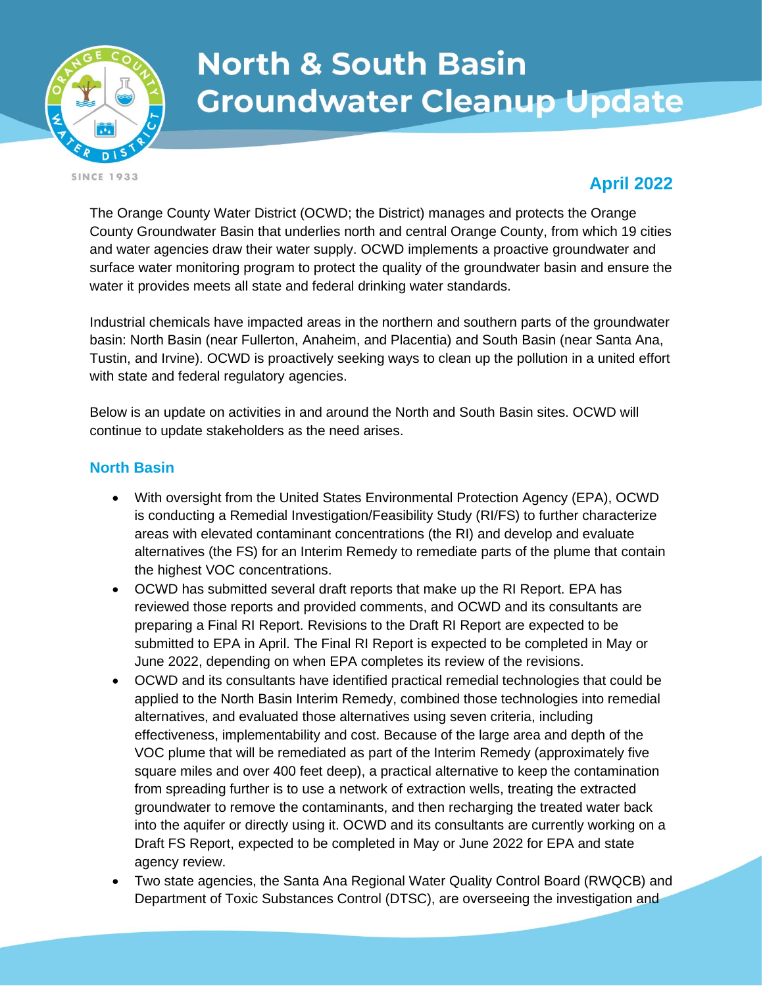

# **North & South Basin Groundwater Cleanup Update**

**SINCE 1933** 

## **April 2022**

The Orange County Water District (OCWD; the District) manages and protects the Orange County Groundwater Basin that underlies north and central Orange County, from which 19 cities and water agencies draw their water supply. OCWD implements a proactive groundwater and surface water monitoring program to protect the quality of the groundwater basin and ensure the water it provides meets all state and federal drinking water standards.

Industrial chemicals have impacted areas in the northern and southern parts of the groundwater basin: North Basin (near Fullerton, Anaheim, and Placentia) and South Basin (near Santa Ana, Tustin, and Irvine). OCWD is proactively seeking ways to clean up the pollution in a united effort with state and federal regulatory agencies.

Below is an update on activities in and around the North and South Basin sites. OCWD will continue to update stakeholders as the need arises.

#### **North Basin**

- With oversight from the United States Environmental Protection Agency (EPA), OCWD is conducting a Remedial Investigation/Feasibility Study (RI/FS) to further characterize areas with elevated contaminant concentrations (the RI) and develop and evaluate alternatives (the FS) for an Interim Remedy to remediate parts of the plume that contain the highest VOC concentrations.
- OCWD has submitted several draft reports that make up the RI Report. EPA has reviewed those reports and provided comments, and OCWD and its consultants are preparing a Final RI Report. Revisions to the Draft RI Report are expected to be submitted to EPA in April. The Final RI Report is expected to be completed in May or June 2022, depending on when EPA completes its review of the revisions.
- OCWD and its consultants have identified practical remedial technologies that could be applied to the North Basin Interim Remedy, combined those technologies into remedial alternatives, and evaluated those alternatives using seven criteria, including effectiveness, implementability and cost. Because of the large area and depth of the VOC plume that will be remediated as part of the Interim Remedy (approximately five square miles and over 400 feet deep), a practical alternative to keep the contamination from spreading further is to use a network of extraction wells, treating the extracted groundwater to remove the contaminants, and then recharging the treated water back into the aquifer or directly using it. OCWD and its consultants are currently working on a Draft FS Report, expected to be completed in May or June 2022 for EPA and state agency review.
- Two state agencies, the Santa Ana Regional Water Quality Control Board (RWQCB) and Department of Toxic Substances Control (DTSC), are overseeing the investigation and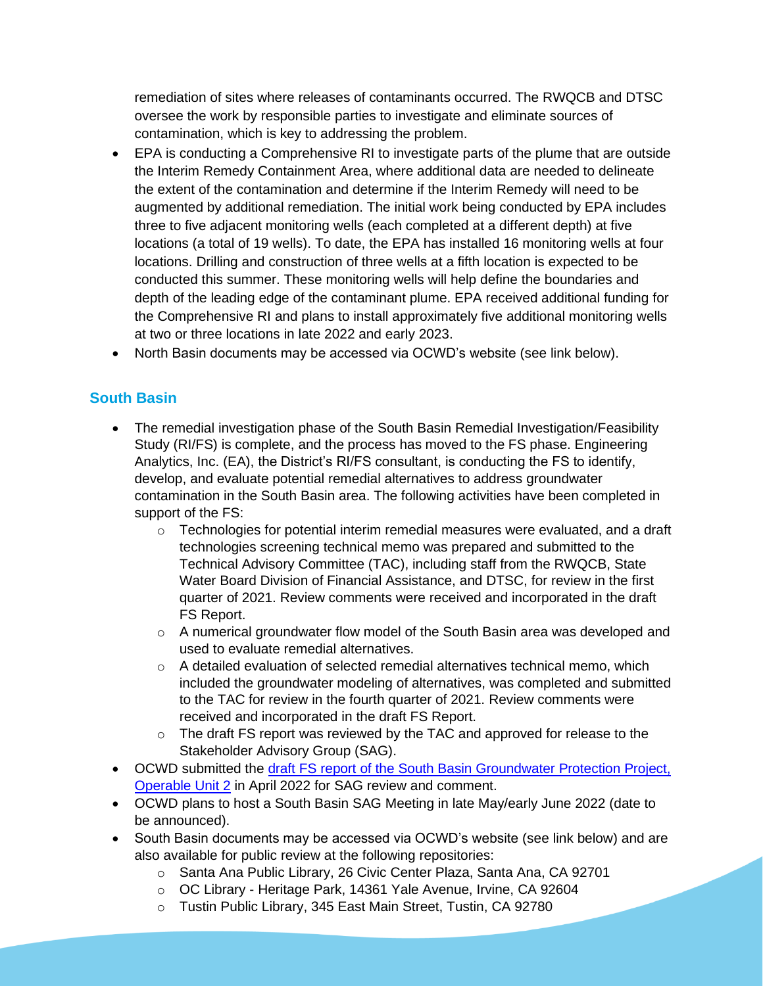remediation of sites where releases of contaminants occurred. The RWQCB and DTSC oversee the work by responsible parties to investigate and eliminate sources of contamination, which is key to addressing the problem.

- EPA is conducting a Comprehensive RI to investigate parts of the plume that are outside the Interim Remedy Containment Area, where additional data are needed to delineate the extent of the contamination and determine if the Interim Remedy will need to be augmented by additional remediation. The initial work being conducted by EPA includes three to five adjacent monitoring wells (each completed at a different depth) at five locations (a total of 19 wells). To date, the EPA has installed 16 monitoring wells at four locations. Drilling and construction of three wells at a fifth location is expected to be conducted this summer. These monitoring wells will help define the boundaries and depth of the leading edge of the contaminant plume. EPA received additional funding for the Comprehensive RI and plans to install approximately five additional monitoring wells at two or three locations in late 2022 and early 2023.
- North Basin documents may be accessed via OCWD's website (see link below).

#### **South Basin**

- The remedial investigation phase of the South Basin Remedial Investigation/Feasibility Study (RI/FS) is complete, and the process has moved to the FS phase. Engineering Analytics, Inc. (EA), the District's RI/FS consultant, is conducting the FS to identify, develop, and evaluate potential remedial alternatives to address groundwater contamination in the South Basin area. The following activities have been completed in support of the FS:
	- $\circ$  Technologies for potential interim remedial measures were evaluated, and a draft technologies screening technical memo was prepared and submitted to the Technical Advisory Committee (TAC), including staff from the RWQCB, State Water Board Division of Financial Assistance, and DTSC, for review in the first quarter of 2021. Review comments were received and incorporated in the draft FS Report.
	- $\circ$  A numerical groundwater flow model of the South Basin area was developed and used to evaluate remedial alternatives.
	- $\circ$  A detailed evaluation of selected remedial alternatives technical memo, which included the groundwater modeling of alternatives, was completed and submitted to the TAC for review in the fourth quarter of 2021. Review comments were received and incorporated in the draft FS Report.
	- o The draft FS report was reviewed by the TAC and approved for release to the Stakeholder Advisory Group (SAG).
- OCWD submitted the draft FS report of the South Basin Groundwater Protection Project, [Operable Unit 2](https://www.ocwd.com/media/10545/ocwd_fs_rpt_fd_f.pdf) in April 2022 for SAG review and comment.
- OCWD plans to host a South Basin SAG Meeting in late May/early June 2022 (date to be announced).
- South Basin documents may be accessed via OCWD's website (see link below) and are also available for public review at the following repositories:
	- o Santa Ana Public Library, 26 Civic Center Plaza, Santa Ana, CA 92701
	- o OC Library Heritage Park, 14361 Yale Avenue, Irvine, CA 92604
	- o Tustin Public Library, 345 East Main Street, Tustin, CA 92780